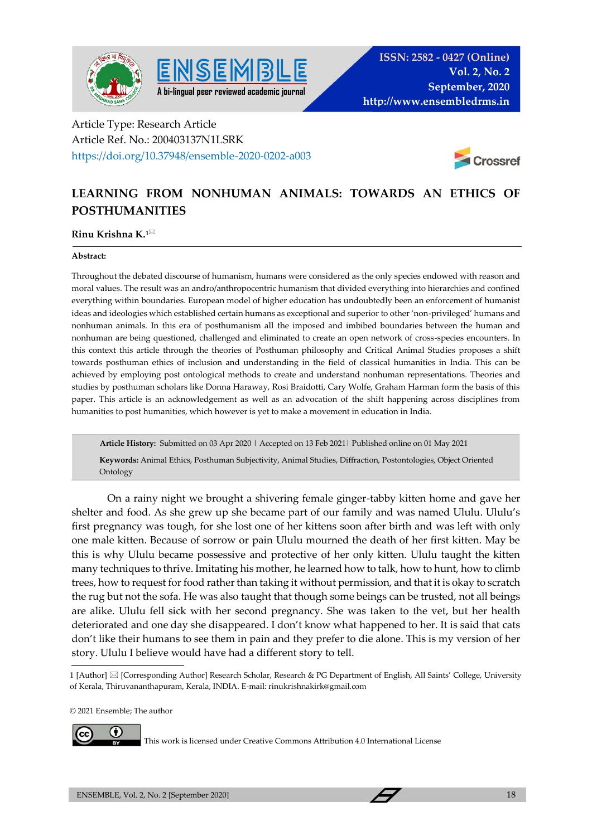



## Article Type: Research Article Article Ref. No.: 200403137N1LSRK https://doi.org/10.37948/ensemble-2020-0202-a003



# **LEARNING FROM NONHUMAN ANIMALS: TOWARDS AN ETHICS OF POSTHUMANITIES**

## **Rinu Krishna K.1**

### **Abstract:**

Throughout the debated discourse of humanism, humans were considered as the only species endowed with reason and moral values. The result was an andro/anthropocentric humanism that divided everything into hierarchies and confined everything within boundaries. European model of higher education has undoubtedly been an enforcement of humanist ideas and ideologies which established certain humans as exceptional and superior to other 'non-privileged' humans and nonhuman animals. In this era of posthumanism all the imposed and imbibed boundaries between the human and nonhuman are being questioned, challenged and eliminated to create an open network of cross-species encounters. In this context this article through the theories of Posthuman philosophy and Critical Animal Studies proposes a shift towards posthuman ethics of inclusion and understanding in the field of classical humanities in India. This can be achieved by employing post ontological methods to create and understand nonhuman representations. Theories and studies by posthuman scholars like Donna Haraway, Rosi Braidotti, Cary Wolfe, Graham Harman form the basis of this paper. This article is an acknowledgement as well as an advocation of the shift happening across disciplines from humanities to post humanities, which however is yet to make a movement in education in India.

**Article History:** Submitted on 03 Apr 2020 | Accepted on 13 Feb 2021| Published online on 01 May 2021

 **Keywords:** Animal Ethics, Posthuman Subjectivity, Animal Studies, Diffraction, Postontologies, Object Oriented Ontology

On a rainy night we brought a shivering female ginger-tabby kitten home and gave her shelter and food. As she grew up she became part of our family and was named Ululu. Ululu's first pregnancy was tough, for she lost one of her kittens soon after birth and was left with only one male kitten. Because of sorrow or pain Ululu mourned the death of her first kitten. May be this is why Ululu became possessive and protective of her only kitten. Ululu taught the kitten many techniques to thrive. Imitating his mother, he learned how to talk, how to hunt, how to climb trees, how to request for food rather than taking it without permission, and that it is okay to scratch the rug but not the sofa. He was also taught that though some beings can be trusted, not all beings are alike. Ululu fell sick with her second pregnancy. She was taken to the vet, but her health deteriorated and one day she disappeared. I don't know what happened to her. It is said that cats don't like their humans to see them in pain and they prefer to die alone. This is my version of her story. Ululu I believe would have had a different story to tell.

© 2021 Ensemble; The author



This work is licensed under Creative Commons Attribution 4.0 International License

<sup>1 [</sup>Author] [Corresponding Author] Research Scholar, Research & PG Department of English, All Saints' College, University of Kerala, Thiruvananthapuram, Kerala, INDIA. E-mail: rinukrishnakirk@gmail.com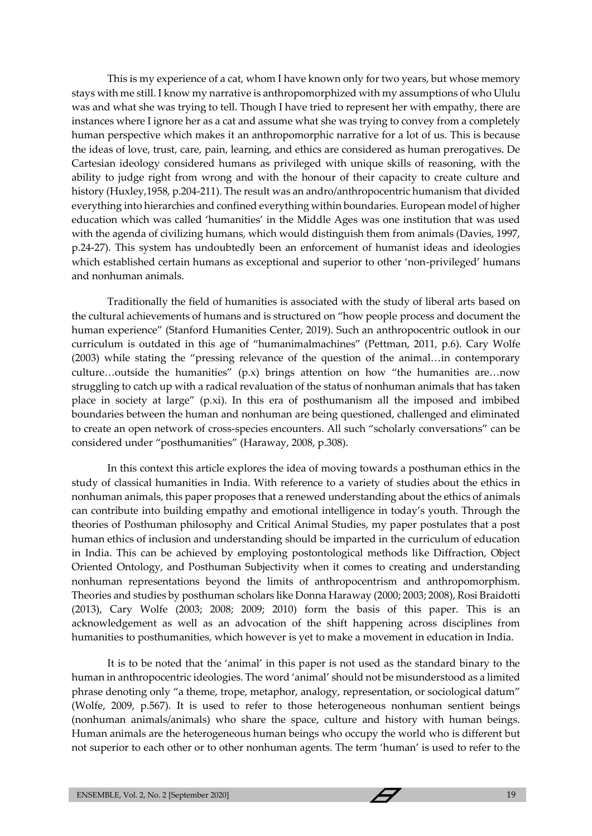This is my experience of a cat, whom I have known only for two years, but whose memory stays with me still. I know my narrative is anthropomorphized with my assumptions of who Ululu was and what she was trying to tell. Though I have tried to represent her with empathy, there are instances where I ignore her as a cat and assume what she was trying to convey from a completely human perspective which makes it an anthropomorphic narrative for a lot of us. This is because the ideas of love, trust, care, pain, learning, and ethics are considered as human prerogatives. De Cartesian ideology considered humans as privileged with unique skills of reasoning, with the ability to judge right from wrong and with the honour of their capacity to create culture and history (Huxley,1958, p.204-211). The result was an andro/anthropocentric humanism that divided everything into hierarchies and confined everything within boundaries. European model of higher education which was called 'humanities' in the Middle Ages was one institution that was used with the agenda of civilizing humans, which would distinguish them from animals (Davies, 1997, p.24-27). This system has undoubtedly been an enforcement of humanist ideas and ideologies which established certain humans as exceptional and superior to other 'non-privileged' humans and nonhuman animals.

Traditionally the field of humanities is associated with the study of liberal arts based on the cultural achievements of humans and is structured on "how people process and document the human experience" (Stanford Humanities Center, 2019). Such an anthropocentric outlook in our curriculum is outdated in this age of "humanimalmachines" (Pettman, 2011, p.6). Cary Wolfe (2003) while stating the "pressing relevance of the question of the animal…in contemporary culture…outside the humanities"  $(p.x)$  brings attention on how "the humanities are…now struggling to catch up with a radical revaluation of the status of nonhuman animals that has taken place in society at large" (p*.*xi). In this era of posthumanism all the imposed and imbibed boundaries between the human and nonhuman are being questioned, challenged and eliminated to create an open network of cross-species encounters. All such "scholarly conversations" can be considered under "posthumanities" (Haraway, 2008, p.308).

In this context this article explores the idea of moving towards a posthuman ethics in the study of classical humanities in India. With reference to a variety of studies about the ethics in nonhuman animals, this paper proposes that a renewed understanding about the ethics of animals can contribute into building empathy and emotional intelligence in today's youth. Through the theories of Posthuman philosophy and Critical Animal Studies, my paper postulates that a post human ethics of inclusion and understanding should be imparted in the curriculum of education in India. This can be achieved by employing postontological methods like Diffraction, Object Oriented Ontology, and Posthuman Subjectivity when it comes to creating and understanding nonhuman representations beyond the limits of anthropocentrism and anthropomorphism. Theories and studies by posthuman scholars like Donna Haraway (2000; 2003; 2008), Rosi Braidotti (2013), Cary Wolfe (2003; 2008; 2009; 2010) form the basis of this paper. This is an acknowledgement as well as an advocation of the shift happening across disciplines from humanities to posthumanities, which however is yet to make a movement in education in India.

It is to be noted that the 'animal' in this paper is not used as the standard binary to the human in anthropocentric ideologies. The word 'animal' should not be misunderstood as a limited phrase denoting only "a theme, trope, metaphor, analogy, representation, or sociological datum" (Wolfe, 2009, p.567). It is used to refer to those heterogeneous nonhuman sentient beings (nonhuman animals/animals) who share the space, culture and history with human beings. Human animals are the heterogeneous human beings who occupy the world who is different but not superior to each other or to other nonhuman agents. The term 'human' is used to refer to the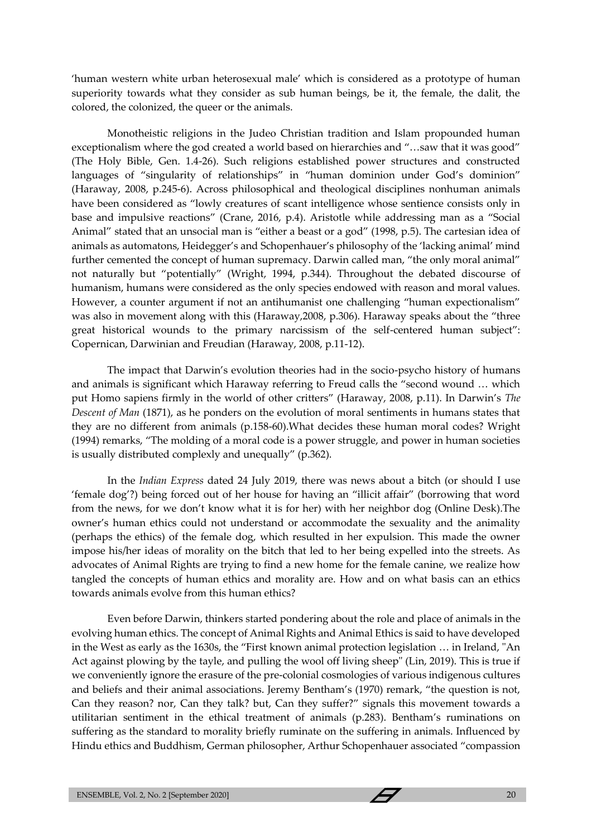'human western white urban heterosexual male' which is considered as a prototype of human superiority towards what they consider as sub human beings, be it, the female, the dalit, the colored, the colonized, the queer or the animals.

Monotheistic religions in the Judeo Christian tradition and Islam propounded human exceptionalism where the god created a world based on hierarchies and "…saw that it was good" (The Holy Bible, Gen. 1.4-26). Such religions established power structures and constructed languages of "singularity of relationships" in "human dominion under God's dominion" (Haraway, 2008, p.245-6). Across philosophical and theological disciplines nonhuman animals have been considered as "lowly creatures of scant intelligence whose sentience consists only in base and impulsive reactions" (Crane, 2016, p.4). Aristotle while addressing man as a "Social Animal" stated that an unsocial man is "either a beast or a god" (1998, p.5). The cartesian idea of animals as automatons, Heidegger's and Schopenhauer's philosophy of the 'lacking animal' mind further cemented the concept of human supremacy. Darwin called man, "the only moral animal" not naturally but "potentially" (Wright, 1994, p.344). Throughout the debated discourse of humanism, humans were considered as the only species endowed with reason and moral values. However, a counter argument if not an antihumanist one challenging "human expectionalism" was also in movement along with this (Haraway,2008, p.306). Haraway speaks about the "three great historical wounds to the primary narcissism of the self-centered human subject": Copernican, Darwinian and Freudian (Haraway, 2008, p.11-12).

The impact that Darwin's evolution theories had in the socio-psycho history of humans and animals is significant which Haraway referring to Freud calls the "second wound … which put Homo sapiens firmly in the world of other critters" (Haraway, 2008, p.11). In Darwin's *The Descent of Man* (1871), as he ponders on the evolution of moral sentiments in humans states that they are no different from animals (p.158-60).What decides these human moral codes? Wright (1994) remarks, "The molding of a moral code is a power struggle, and power in human societies is usually distributed complexly and unequally" (p.362).

In the *Indian Express* dated 24 July 2019, there was news about a bitch (or should I use 'female dog'?) being forced out of her house for having an "illicit affair" (borrowing that word from the news, for we don't know what it is for her) with her neighbor dog (Online Desk).The owner's human ethics could not understand or accommodate the sexuality and the animality (perhaps the ethics) of the female dog, which resulted in her expulsion. This made the owner impose his/her ideas of morality on the bitch that led to her being expelled into the streets. As advocates of Animal Rights are trying to find a new home for the female canine, we realize how tangled the concepts of human ethics and morality are. How and on what basis can an ethics towards animals evolve from this human ethics?

Even before Darwin, thinkers started pondering about the role and place of animals in the evolving human ethics. The concept of Animal Rights and Animal Ethics is said to have developed in the West as early as the 1630s, the "First known animal protection legislation … in Ireland, "An Act against plowing by the tayle, and pulling the wool off living sheep" (Lin, 2019). This is true if we conveniently ignore the erasure of the pre-colonial cosmologies of various indigenous cultures and beliefs and their animal associations. Jeremy Bentham's (1970) remark, "the question is not, Can they reason? nor, Can they talk? but, Can they suffer?" signals this movement towards a utilitarian sentiment in the ethical treatment of animals (p.283). Bentham's ruminations on suffering as the standard to morality briefly ruminate on the suffering in animals. Influenced by Hindu ethics and Buddhism, German philosopher, Arthur Schopenhauer associated "compassion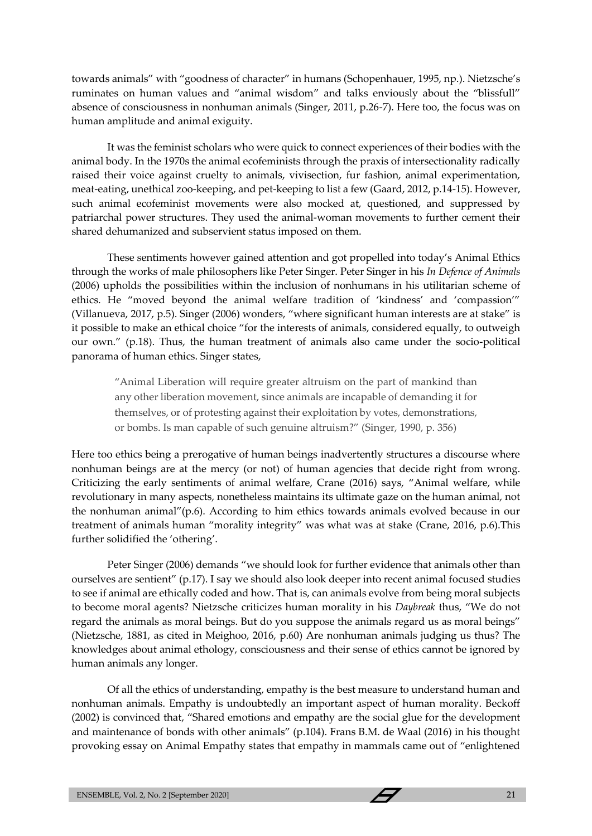towards animals" with "goodness of character" in humans (Schopenhauer, 1995, np.). Nietzsche's ruminates on human values and "animal wisdom" and talks enviously about the "blissfull" absence of consciousness in nonhuman animals (Singer, 2011, p.26-7). Here too, the focus was on human amplitude and animal exiguity.

It was the feminist scholars who were quick to connect experiences of their bodies with the animal body. In the 1970s the animal ecofeminists through the praxis of intersectionality radically raised their voice against cruelty to animals, vivisection, fur fashion, animal experimentation, meat-eating, unethical zoo-keeping, and pet-keeping to list a few (Gaard, 2012, p.14-15). However, such animal ecofeminist movements were also mocked at, questioned, and suppressed by patriarchal power structures. They used the animal-woman movements to further cement their shared dehumanized and subservient status imposed on them.

These sentiments however gained attention and got propelled into today's Animal Ethics through the works of male philosophers like Peter Singer. Peter Singer in his *In Defence of Animals* (2006) upholds the possibilities within the inclusion of nonhumans in his utilitarian scheme of ethics. He "moved beyond the animal welfare tradition of 'kindness' and 'compassion'" (Villanueva, 2017, p.5). Singer (2006) wonders, "where significant human interests are at stake" is it possible to make an ethical choice "for the interests of animals, considered equally, to outweigh our own." (p.18). Thus, the human treatment of animals also came under the socio-political panorama of human ethics. Singer states,

"Animal Liberation will require greater altruism on the part of mankind than any other liberation movement, since animals are incapable of demanding it for themselves, or of protesting against their exploitation by votes, demonstrations, or bombs. Is man capable of such genuine altruism?" (Singer, 1990, p. 356)

Here too ethics being a prerogative of human beings inadvertently structures a discourse where nonhuman beings are at the mercy (or not) of human agencies that decide right from wrong. Criticizing the early sentiments of animal welfare, Crane (2016) says, "Animal welfare, while revolutionary in many aspects, nonetheless maintains its ultimate gaze on the human animal, not the nonhuman animal"(p.6). According to him ethics towards animals evolved because in our treatment of animals human "morality integrity" was what was at stake (Crane, 2016, p.6).This further solidified the 'othering'.

Peter Singer (2006) demands "we should look for further evidence that animals other than ourselves are sentient" (p.17). I say we should also look deeper into recent animal focused studies to see if animal are ethically coded and how. That is, can animals evolve from being moral subjects to become moral agents? Nietzsche criticizes human morality in his *Daybreak* thus, "We do not regard the animals as moral beings. But do you suppose the animals regard us as moral beings" (Nietzsche, 1881, as cited in Meighoo, 2016, p.60) Are nonhuman animals judging us thus? The knowledges about animal ethology, consciousness and their sense of ethics cannot be ignored by human animals any longer.

Of all the ethics of understanding, empathy is the best measure to understand human and nonhuman animals. Empathy is undoubtedly an important aspect of human morality. Beckoff (2002) is convinced that, "Shared emotions and empathy are the social glue for the development and maintenance of bonds with other animals" (p.104). Frans B.M. de Waal (2016) in his thought provoking essay on Animal Empathy states that empathy in mammals came out of "enlightened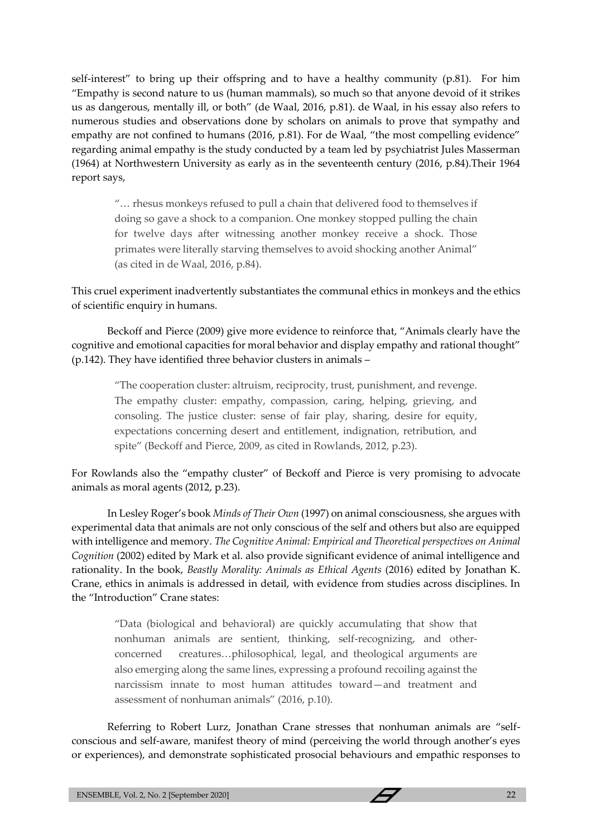self-interest" to bring up their offspring and to have a healthy community (p.81). For him "Empathy is second nature to us (human mammals), so much so that anyone devoid of it strikes us as dangerous, mentally ill, or both" (de Waal, 2016, p.81). de Waal, in his essay also refers to numerous studies and observations done by scholars on animals to prove that sympathy and empathy are not confined to humans (2016, p.81). For de Waal, "the most compelling evidence" regarding animal empathy is the study conducted by a team led by psychiatrist Jules Masserman (1964) at Northwestern University as early as in the seventeenth century (2016, p.84).Their 1964 report says,

"… rhesus monkeys refused to pull a chain that delivered food to themselves if doing so gave a shock to a companion. One monkey stopped pulling the chain for twelve days after witnessing another monkey receive a shock. Those primates were literally starving themselves to avoid shocking another Animal" (as cited in de Waal, 2016, p.84).

This cruel experiment inadvertently substantiates the communal ethics in monkeys and the ethics of scientific enquiry in humans.

Beckoff and Pierce (2009) give more evidence to reinforce that, "Animals clearly have the cognitive and emotional capacities for moral behavior and display empathy and rational thought" (p.142). They have identified three behavior clusters in animals –

"The cooperation cluster: altruism, reciprocity, trust, punishment, and revenge. The empathy cluster: empathy, compassion, caring, helping, grieving, and consoling. The justice cluster: sense of fair play, sharing, desire for equity, expectations concerning desert and entitlement, indignation, retribution, and spite" (Beckoff and Pierce, 2009, as cited in Rowlands, 2012, p.23).

For Rowlands also the "empathy cluster" of Beckoff and Pierce is very promising to advocate animals as moral agents (2012, p.23).

In Lesley Roger's book *Minds of Their Own* (1997) on animal consciousness, she argues with experimental data that animals are not only conscious of the self and others but also are equipped with intelligence and memory. *The Cognitive Animal: Empirical and Theoretical perspectives on Animal Cognition* (2002) edited by Mark et al. also provide significant evidence of animal intelligence and rationality. In the book, *Beastly Morality: Animals as Ethical Agents* (2016) edited by Jonathan K. Crane, ethics in animals is addressed in detail, with evidence from studies across disciplines. In the "Introduction" Crane states:

"Data (biological and behavioral) are quickly accumulating that show that nonhuman animals are sentient, thinking, self-recognizing, and otherconcerned creatures…philosophical, legal, and theological arguments are also emerging along the same lines, expressing a profound recoiling against the narcissism innate to most human attitudes toward—and treatment and assessment of nonhuman animals" (2016, p.10).

Referring to Robert Lurz, Jonathan Crane stresses that nonhuman animals are "selfconscious and self-aware, manifest theory of mind (perceiving the world through another's eyes or experiences), and demonstrate sophisticated prosocial behaviours and empathic responses to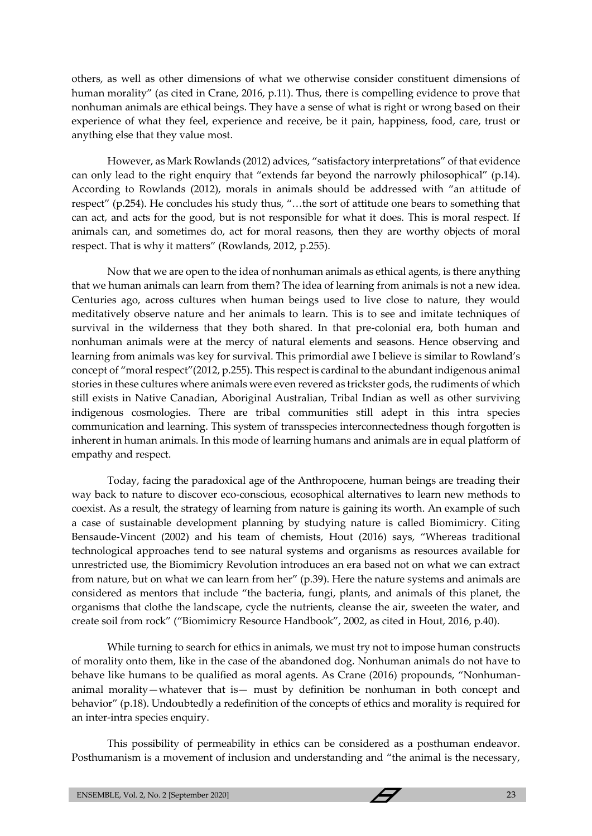others, as well as other dimensions of what we otherwise consider constituent dimensions of human morality" (as cited in Crane, 2016, p.11). Thus, there is compelling evidence to prove that nonhuman animals are ethical beings. They have a sense of what is right or wrong based on their experience of what they feel, experience and receive, be it pain, happiness, food, care, trust or anything else that they value most.

However, as Mark Rowlands (2012) advices, "satisfactory interpretations" of that evidence can only lead to the right enquiry that "extends far beyond the narrowly philosophical" (p.14). According to Rowlands (2012), morals in animals should be addressed with "an attitude of respect" (p.254). He concludes his study thus, "…the sort of attitude one bears to something that can act, and acts for the good, but is not responsible for what it does. This is moral respect. If animals can, and sometimes do, act for moral reasons, then they are worthy objects of moral respect. That is why it matters" (Rowlands, 2012, p.255).

Now that we are open to the idea of nonhuman animals as ethical agents, is there anything that we human animals can learn from them? The idea of learning from animals is not a new idea. Centuries ago, across cultures when human beings used to live close to nature, they would meditatively observe nature and her animals to learn. This is to see and imitate techniques of survival in the wilderness that they both shared. In that pre-colonial era, both human and nonhuman animals were at the mercy of natural elements and seasons. Hence observing and learning from animals was key for survival. This primordial awe I believe is similar to Rowland's concept of "moral respect"(2012, p.255). This respect is cardinal to the abundant indigenous animal stories in these cultures where animals were even revered as trickster gods, the rudiments of which still exists in Native Canadian, Aboriginal Australian, Tribal Indian as well as other surviving indigenous cosmologies. There are tribal communities still adept in this intra species communication and learning. This system of transspecies interconnectedness though forgotten is inherent in human animals. In this mode of learning humans and animals are in equal platform of empathy and respect.

Today, facing the paradoxical age of the Anthropocene, human beings are treading their way back to nature to discover eco-conscious, ecosophical alternatives to learn new methods to coexist. As a result, the strategy of learning from nature is gaining its worth. An example of such a case of sustainable development planning by studying nature is called Biomimicry. Citing Bensaude-Vincent (2002) and his team of chemists, Hout (2016) says, "Whereas traditional technological approaches tend to see natural systems and organisms as resources available for unrestricted use, the Biomimicry Revolution introduces an era based not on what we can extract from nature, but on what we can learn from her" (p.39). Here the nature systems and animals are considered as mentors that include "the bacteria, fungi, plants, and animals of this planet, the organisms that clothe the landscape, cycle the nutrients, cleanse the air, sweeten the water, and create soil from rock" ("Biomimicry Resource Handbook", 2002, as cited in Hout, 2016, p.40).

While turning to search for ethics in animals, we must try not to impose human constructs of morality onto them, like in the case of the abandoned dog. Nonhuman animals do not have to behave like humans to be qualified as moral agents. As Crane (2016) propounds, "Nonhumananimal morality—whatever that is— must by definition be nonhuman in both concept and behavior" (p.18). Undoubtedly a redefinition of the concepts of ethics and morality is required for an inter-intra species enquiry.

This possibility of permeability in ethics can be considered as a posthuman endeavor. Posthumanism is a movement of inclusion and understanding and "the animal is the necessary,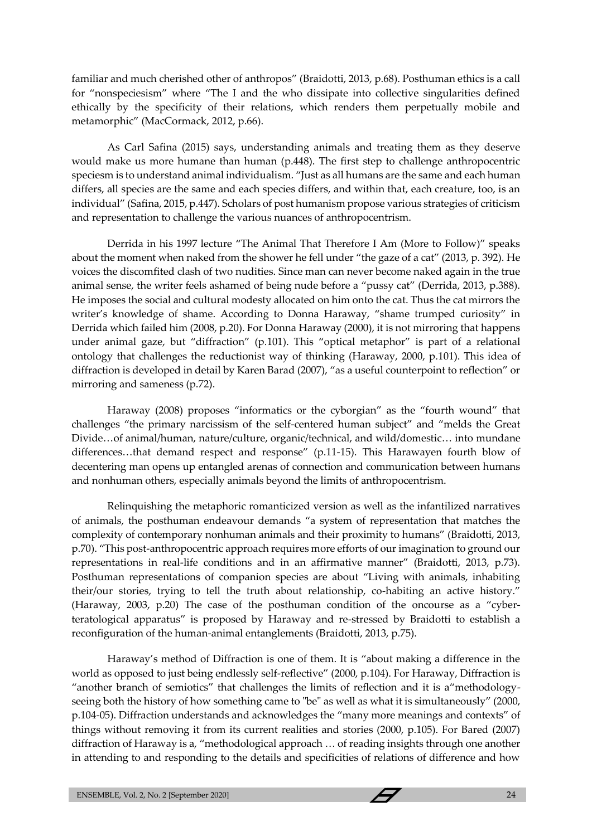familiar and much cherished other of anthropos" (Braidotti, 2013, p.68). Posthuman ethics is a call for "nonspeciesism" where "The I and the who dissipate into collective singularities defined ethically by the specificity of their relations, which renders them perpetually mobile and metamorphic" (MacCormack, 2012, p.66).

As Carl Safina (2015) says, understanding animals and treating them as they deserve would make us more humane than human (p.448). The first step to challenge anthropocentric speciesm is to understand animal individualism. "Just as all humans are the same and each human differs, all species are the same and each species differs, and within that, each creature, too, is an individual" (Safina, 2015, p.447). Scholars of post humanism propose various strategies of criticism and representation to challenge the various nuances of anthropocentrism.

Derrida in his 1997 lecture "The Animal That Therefore I Am (More to Follow)" speaks about the moment when naked from the shower he fell under "the gaze of a cat" (2013, p. 392). He voices the discomfited clash of two nudities. Since man can never become naked again in the true animal sense, the writer feels ashamed of being nude before a "pussy cat" (Derrida, 2013, p.388). He imposes the social and cultural modesty allocated on him onto the cat. Thus the cat mirrors the writer's knowledge of shame. According to Donna Haraway, "shame trumped curiosity" in Derrida which failed him (2008, p.20). For Donna Haraway (2000), it is not mirroring that happens under animal gaze, but "diffraction" (p*.*101). This "optical metaphor" is part of a relational ontology that challenges the reductionist way of thinking (Haraway, 2000, p*.*101). This idea of diffraction is developed in detail by Karen Barad (2007), "as a useful counterpoint to reflection" or mirroring and sameness (p.72).

Haraway (2008) proposes "informatics or the cyborgian" as the "fourth wound" that challenges "the primary narcissism of the self-centered human subject" and "melds the Great Divide…of animal/human, nature/culture, organic/technical, and wild/domestic… into mundane differences…that demand respect and response" (p.11-15). This Harawayen fourth blow of decentering man opens up entangled arenas of connection and communication between humans and nonhuman others, especially animals beyond the limits of anthropocentrism.

Relinquishing the metaphoric romanticized version as well as the infantilized narratives of animals, the posthuman endeavour demands "a system of representation that matches the complexity of contemporary nonhuman animals and their proximity to humans" (Braidotti, 2013, p.70). "This post-anthropocentric approach requires more efforts of our imagination to ground our representations in real-life conditions and in an affirmative manner" (Braidotti, 2013, p.73). Posthuman representations of companion species are about "Living with animals, inhabiting their/our stories, trying to tell the truth about relationship, co-habiting an active history." (Haraway, 2003, p.20) The case of the posthuman condition of the oncourse as a "cyberteratological apparatus" is proposed by Haraway and re-stressed by Braidotti to establish a reconfiguration of the human-animal entanglements (Braidotti, 2013, p.75).

Haraway's method of Diffraction is one of them. It is "about making a difference in the world as opposed to just being endlessly self-reflective" (2000, p.104). For Haraway, Diffraction is "another branch of semiotics" that challenges the limits of reflection and it is a"methodologyseeing both the history of how something came to "be" as well as what it is simultaneously" (2000, p.104-05). Diffraction understands and acknowledges the "many more meanings and contexts" of things without removing it from its current realities and stories (2000, p.105). For Bared (2007) diffraction of Haraway is a, "methodological approach … of reading insights through one another in attending to and responding to the details and specificities of relations of difference and how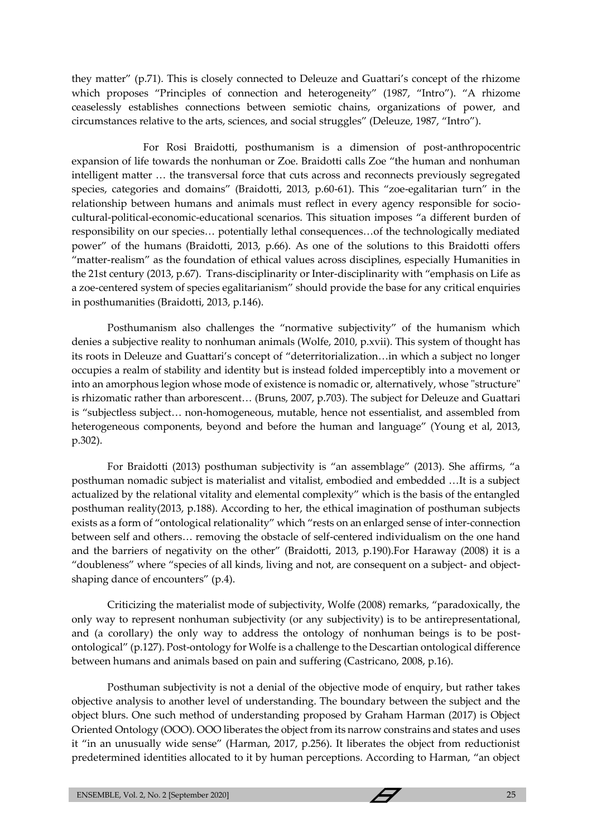they matter" (p.71). This is closely connected to Deleuze and Guattari's concept of the rhizome which proposes "Principles of connection and heterogeneity" (1987, "Intro"). "A rhizome ceaselessly establishes connections between semiotic chains, organizations of power, and circumstances relative to the arts, sciences, and social struggles" (Deleuze, 1987, "Intro").

For Rosi Braidotti, posthumanism is a dimension of post-anthropocentric expansion of life towards the nonhuman or Zoe. Braidotti calls Zoe "the human and nonhuman intelligent matter … the transversal force that cuts across and reconnects previously segregated species, categories and domains" (Braidotti, 2013, p.60-61). This "zoe-egalitarian turn" in the relationship between humans and animals must reflect in every agency responsible for sociocultural-political-economic-educational scenarios. This situation imposes "a different burden of responsibility on our species… potentially lethal consequences…of the technologically mediated power" of the humans (Braidotti, 2013, p.66). As one of the solutions to this Braidotti offers "matter-realism" as the foundation of ethical values across disciplines, especially Humanities in the 21st century (2013, p.67). Trans-disciplinarity or Inter-disciplinarity with "emphasis on Life as a zoe-centered system of species egalitarianism" should provide the base for any critical enquiries in posthumanities (Braidotti, 2013, p.146).

Posthumanism also challenges the "normative subjectivity" of the humanism which denies a subjective reality to nonhuman animals (Wolfe, 2010, p.xvii). This system of thought has its roots in Deleuze and Guattari's concept of "deterritorialization…in which a subject no longer occupies a realm of stability and identity but is instead folded imperceptibly into a movement or into an amorphous legion whose mode of existence is nomadic or, alternatively, whose "structure" is rhizomatic rather than arborescent… (Bruns, 2007, p.703). The subject for Deleuze and Guattari is "subjectless subject… non-homogeneous, mutable, hence not essentialist, and assembled from heterogeneous components, beyond and before the human and language" (Young et al, 2013, p.302).

For Braidotti (2013) posthuman subjectivity is "an assemblage" (2013). She affirms, "a posthuman nomadic subject is materialist and vitalist, embodied and embedded …It is a subject actualized by the relational vitality and elemental complexity" which is the basis of the entangled posthuman reality(2013, p.188). According to her, the ethical imagination of posthuman subjects exists as a form of "ontological relationality" which "rests on an enlarged sense of inter-connection between self and others… removing the obstacle of self-centered individualism on the one hand and the barriers of negativity on the other" (Braidotti, 2013, p.190).For Haraway (2008) it is a "doubleness" where "species of all kinds, living and not, are consequent on a subject- and objectshaping dance of encounters" (p.4).

Criticizing the materialist mode of subjectivity, Wolfe (2008) remarks, "paradoxically, the only way to represent nonhuman subjectivity (or any subjectivity) is to be antirepresentational, and (a corollary) the only way to address the ontology of nonhuman beings is to be postontological" (p.127). Post-ontology for Wolfe is a challenge to the Descartian ontological difference between humans and animals based on pain and suffering (Castricano, 2008, p.16).

Posthuman subjectivity is not a denial of the objective mode of enquiry, but rather takes objective analysis to another level of understanding. The boundary between the subject and the object blurs. One such method of understanding proposed by Graham Harman (2017) is Object Oriented Ontology (OOO). OOO liberates the object from its narrow constrains and states and uses it "in an unusually wide sense" (Harman, 2017, p.256). It liberates the object from reductionist predetermined identities allocated to it by human perceptions. According to Harman, "an object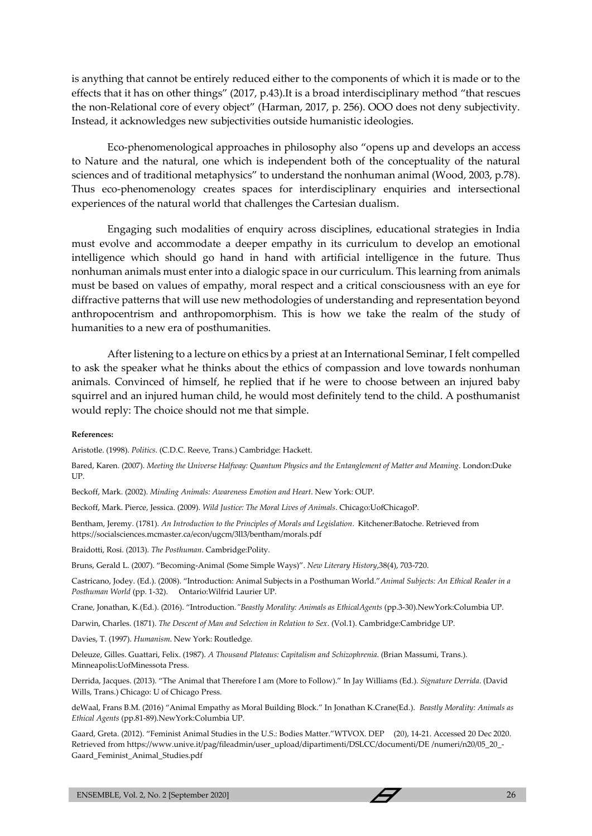is anything that cannot be entirely reduced either to the components of which it is made or to the effects that it has on other things" (2017, p.43).It is a broad interdisciplinary method "that rescues the non-Relational core of every object" (Harman, 2017, p. 256). OOO does not deny subjectivity. Instead, it acknowledges new subjectivities outside humanistic ideologies.

Eco-phenomenological approaches in philosophy also "opens up and develops an access to Nature and the natural, one which is independent both of the conceptuality of the natural sciences and of traditional metaphysics" to understand the nonhuman animal (Wood, 2003, p.78). Thus eco-phenomenology creates spaces for interdisciplinary enquiries and intersectional experiences of the natural world that challenges the Cartesian dualism.

Engaging such modalities of enquiry across disciplines, educational strategies in India must evolve and accommodate a deeper empathy in its curriculum to develop an emotional intelligence which should go hand in hand with artificial intelligence in the future. Thus nonhuman animals must enter into a dialogic space in our curriculum. This learning from animals must be based on values of empathy, moral respect and a critical consciousness with an eye for diffractive patterns that will use new methodologies of understanding and representation beyond anthropocentrism and anthropomorphism. This is how we take the realm of the study of humanities to a new era of posthumanities.

After listening to a lecture on ethics by a priest at an International Seminar, I felt compelled to ask the speaker what he thinks about the ethics of compassion and love towards nonhuman animals. Convinced of himself, he replied that if he were to choose between an injured baby squirrel and an injured human child, he would most definitely tend to the child. A posthumanist would reply: The choice should not me that simple.

#### **References:**

Aristotle. (1998). *Politics*. (C.D.C. Reeve, Trans.) Cambridge: Hackett.

Bared, Karen. (2007). *Meeting the Universe Halfway: Quantum Physics and the Entanglement of Matter and Meaning*. London:Duke UP.

Beckoff, Mark. (2002). *Minding Animals: Awareness Emotion and Heart*. New York: OUP.

Beckoff, Mark. Pierce, Jessica. (2009). *Wild Justice: The Moral Lives of Animals*. Chicago:UofChicagoP.

Bentham, Jeremy. (1781). *An Introduction to the Principles of Morals and Legislation*. Kitchener:Batoche. Retrieved from https://socialsciences.mcmaster.ca/econ/ugcm/3ll3/bentham/morals.pdf

Braidotti, Rosi. (2013). *The Posthuman*. Cambridge:Polity.

Bruns, Gerald L. (2007). "Becoming-Animal (Some Simple Ways)". *New Literary History*,38(4), 703-720.

Castricano, Jodey. (Ed.). (2008). "Introduction: Animal Subjects in a Posthuman World."*Animal Subjects: An Ethical Reader in a Posthuman World* (pp. 1-32). Ontario:Wilfrid Laurier UP.

Crane, Jonathan, K.(Ed.). (2016). "Introduction*."Beastly Morality: Animals as EthicalAgents* (pp.3-30).NewYork:Columbia UP.

Darwin, Charles. (1871). *The Descent of Man and Selection in Relation to Sex*. (Vol.1). Cambridge:Cambridge UP.

Davies, T. (1997). *Humanism*. New York: Routledge.

Deleuze, Gilles. Guattari, Felix. (1987). *A Thousand Plateaus: Capitalism and Schizophrenia*. (Brian Massumi, Trans.). Minneapolis:UofMinessota Press.

Derrida, Jacques. (2013). "The Animal that Therefore I am (More to Follow)." In Jay Williams (Ed.). *Signature Derrida*. (David Wills, Trans.) Chicago: U of Chicago Press.

deWaal, Frans B.M. (2016) "Animal Empathy as Moral Building Block." In Jonathan K.Crane(Ed.). *Beastly Morality: Animals as Ethical Agents* (pp.81-89).NewYork:Columbia UP.

Gaard, Greta. (2012). "Feminist Animal Studies in the U.S.: Bodies Matter."WTVOX. DEP (20), 14-21. Accessed 20 Dec 2020. Retrieved from https://www.unive.it/pag/fileadmin/user\_upload/dipartimenti/DSLCC/documenti/DE /numeri/n20/05\_20\_- Gaard\_Feminist\_Animal\_Studies.pdf